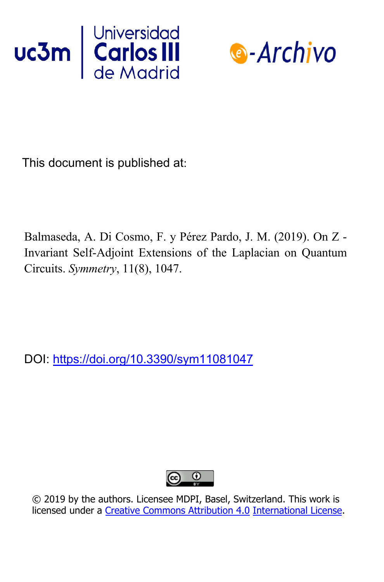



This document is published at:

Balmaseda, A. Di Cosmo, F. y Pérez Pardo, J. M. (2019). On Z - Invariant Self-Adjoint Extensions of the Laplacian on Quantum Circuits. *Symmetry*, 11(8), 1047.

DOI: https://doi.org/10.3390/sym11081047



© 2019 by the authors. Licensee MDPI, Basel, Switzerland. This work is licensed under a Creative Commons Attribution 4.0 International License.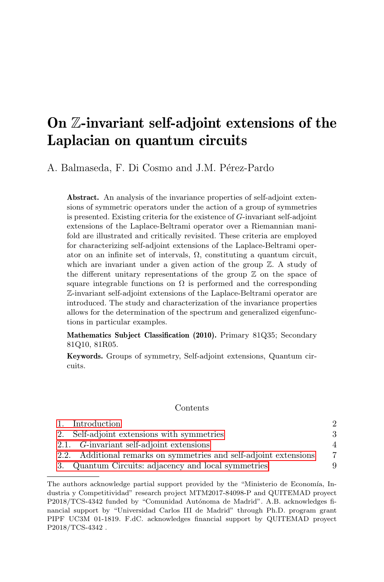# On Z-invariant self-adjoint extensions of the Laplacian on quantum circuits

A. Balmaseda, F. Di Cosmo and J.M. Pérez-Pardo

Abstract. An analysis of the invariance properties of self-adjoint extensions of symmetric operators under the action of a group of symmetries is presented. Existing criteria for the existence of G-invariant self-adjoint extensions of the Laplace-Beltrami operator over a Riemannian manifold are illustrated and critically revisited. These criteria are employed for characterizing self-adjoint extensions of the Laplace-Beltrami operator on an infinite set of intervals,  $\Omega$ , constituting a quantum circuit, which are invariant under a given action of the group  $\mathbb{Z}$ . A study of the different unitary representations of the group  $\mathbb Z$  on the space of square integrable functions on  $\Omega$  is performed and the corresponding Z-invariant self-adjoint extensions of the Laplace-Beltrami operator are introduced. The study and characterization of the invariance properties allows for the determination of the spectrum and generalized eigenfunctions in particular examples.

Mathematics Subject Classification (2010). Primary 81Q35; Secondary 81Q10, 81R05.

Keywords. Groups of symmetry, Self-adjoint extensions, Quantum circuits.

### Contents

| 1. Introduction                                                   |                |
|-------------------------------------------------------------------|----------------|
| 2. Self-adjoint extensions with symmetries                        | 3              |
| 2.1. G-invariant self-adjoint extensions                          | $\overline{4}$ |
| 2.2. Additional remarks on symmetries and self-adjoint extensions | 7              |
| 3. Quantum Circuits: adjacency and local symmetries               | 9              |

The authors acknowledge partial support provided by the "Ministerio de Economía, Industria y Competitividad" research project MTM2017-84098-P and QUITEMAD proyect P2018/TCS-4342 funded by "Comunidad Autónoma de Madrid". A.B. acknowledges financial support by "Universidad Carlos III de Madrid" through Ph.D. program grant PIPF UC3M 01-1819. F.dC. acknowledges financial support by QUITEMAD proyect P2018/TCS-4342 .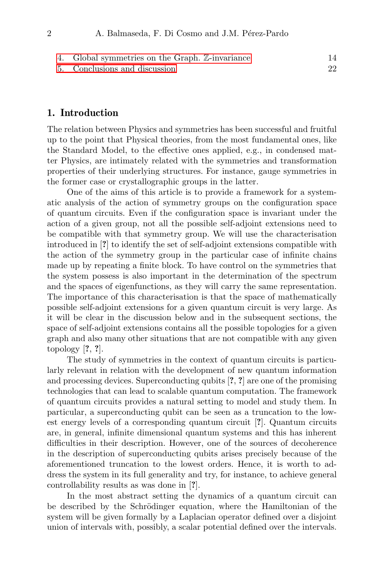- [4. Global symmetries on the Graph.](#page-14-0) Z-invariance 14
- [5. Conclusions and discussion](#page-22-0) 22

# <span id="page-2-0"></span>1. Introduction

The relation between Physics and symmetries has been successful and fruitful up to the point that Physical theories, from the most fundamental ones, like the Standard Model, to the effective ones applied, e.g., in condensed matter Physics, are intimately related with the symmetries and transformation properties of their underlying structures. For instance, gauge symmetries in the former case or crystallographic groups in the latter.

One of the aims of this article is to provide a framework for a systematic analysis of the action of symmetry groups on the configuration space of quantum circuits. Even if the configuration space is invariant under the action of a given group, not all the possible self-adjoint extensions need to be compatible with that symmetry group. We will use the characterisation introduced in [?] to identify the set of self-adjoint extensions compatible with the action of the symmetry group in the particular case of infinite chains made up by repeating a finite block. To have control on the symmetries that the system possess is also important in the determination of the spectrum and the spaces of eigenfunctions, as they will carry the same representation. The importance of this characterisation is that the space of mathematically possible self-adjoint extensions for a given quantum circuit is very large. As it will be clear in the discussion below and in the subsequent sections, the space of self-adjoint extensions contains all the possible topologies for a given graph and also many other situations that are not compatible with any given topology [?, ?].

The study of symmetries in the context of quantum circuits is particularly relevant in relation with the development of new quantum information and processing devices. Superconducting qubits [?, ?] are one of the promising technologies that can lead to scalable quantum computation. The framework of quantum circuits provides a natural setting to model and study them. In particular, a superconducting qubit can be seen as a truncation to the lowest energy levels of a corresponding quantum circuit [?]. Quantum circuits are, in general, infinite dimensional quantum systems and this has inherent difficulties in their description. However, one of the sources of decoherence in the description of superconducting qubits arises precisely because of the aforementioned truncation to the lowest orders. Hence, it is worth to address the system in its full generality and try, for instance, to achieve general controllability results as was done in [?].

In the most abstract setting the dynamics of a quantum circuit can be described by the Schrödinger equation, where the Hamiltonian of the system will be given formally by a Laplacian operator defined over a disjoint union of intervals with, possibly, a scalar potential defined over the intervals.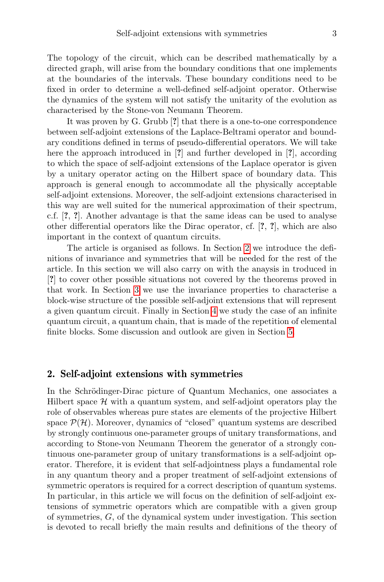The topology of the circuit, which can be described mathematically by a directed graph, will arise from the boundary conditions that one implements at the boundaries of the intervals. These boundary conditions need to be fixed in order to determine a well-defined self-adjoint operator. Otherwise the dynamics of the system will not satisfy the unitarity of the evolution as characterised by the Stone-von Neumann Theorem.

It was proven by G. Grubb [?] that there is a one-to-one correspondence between self-adjoint extensions of the Laplace-Beltrami operator and boundary conditions defined in terms of pseudo-differential operators. We will take here the approach introduced in [?] and further developed in [?], according to which the space of self-adjoint extensions of the Laplace operator is given by a unitary operator acting on the Hilbert space of boundary data. This approach is general enough to accommodate all the physically acceptable self-adjoint extensions. Moreover, the self-adjoint extensions characterised in this way are well suited for the numerical approximation of their spectrum, c.f. [?, ?]. Another advantage is that the same ideas can be used to analyse other differential operators like the Dirac operator, cf. [?, ?], which are also important in the context of quantum circuits.

The article is organised as follows. In Section [2](#page-3-0) we introduce the definitions of invariance and symmetries that will be needed for the rest of the article. In this section we will also carry on with the anaysis in troduced in [?] to cover other possible situations not covered by the theorems proved in that work. In Section [3](#page-9-0) we use the invariance properties to characterise a block-wise structure of the possible self-adjoint extensions that will represent a given quantum circuit. Finally in Section [4](#page-14-0) we study the case of an infinite quantum circuit, a quantum chain, that is made of the repetition of elemental finite blocks. Some discussion and outlook are given in Section [5.](#page-22-0)

## <span id="page-3-0"></span>2. Self-adjoint extensions with symmetries

In the Schrödinger-Dirac picture of Quantum Mechanics, one associates a Hilbert space  $H$  with a quantum system, and self-adjoint operators play the role of observables whereas pure states are elements of the projective Hilbert space  $\mathcal{P}(\mathcal{H})$ . Moreover, dynamics of "closed" quantum systems are described by strongly continuous one-parameter groups of unitary transformations, and according to Stone-von Neumann Theorem the generator of a strongly continuous one-parameter group of unitary transformations is a self-adjoint operator. Therefore, it is evident that self-adjointness plays a fundamental role in any quantum theory and a proper treatment of self-adjoint extensions of symmetric operators is required for a correct description of quantum systems. In particular, in this article we will focus on the definition of self-adjoint extensions of symmetric operators which are compatible with a given group of symmetries, G, of the dynamical system under investigation. This section is devoted to recall briefly the main results and definitions of the theory of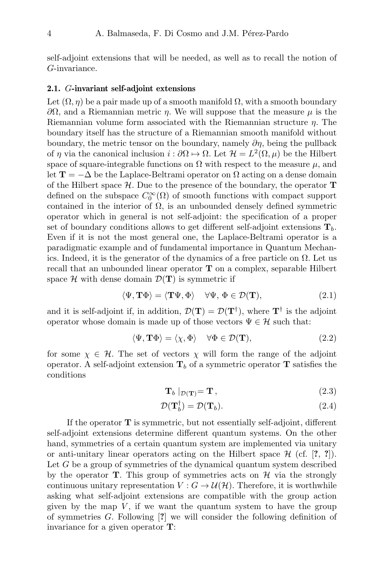self-adjoint extensions that will be needed, as well as to recall the notion of G-invariance.

#### <span id="page-4-0"></span>2.1. G-invariant self-adjoint extensions

Let  $(\Omega, \eta)$  be a pair made up of a smooth manifold  $\Omega$ , with a smooth boundary  $\partial Ω$ , and a Riemannian metric η. We will suppose that the measure  $\mu$  is the Riemannian volume form associated with the Riemannian structure η. The boundary itself has the structure of a Riemannian smooth manifold without boundary, the metric tensor on the boundary, namely  $\partial \eta$ , being the pullback of  $\eta$  via the canonical inclusion  $i : \partial \Omega \mapsto \Omega$ . Let  $\mathcal{H} = L^2(\Omega, \mu)$  be the Hilbert space of square-integrable functions on  $\Omega$  with respect to the measure  $\mu$ , and let  $\mathbf{T} = -\Delta$  be the Laplace-Beltrami operator on  $\Omega$  acting on a dense domain of the Hilbert space  $\mathcal{H}$ . Due to the presence of the boundary, the operator **T** defined on the subspace  $C_0^{\infty}(\Omega)$  of smooth functions with compact support contained in the interior of  $\Omega$ , is an unbounded densely defined symmetric operator which in general is not self-adjoint: the specification of a proper set of boundary conditions allows to get different self-adjoint extensions  $\mathbf{T}_b$ . Even if it is not the most general one, the Laplace-Beltrami operator is a paradigmatic example and of fundamental importance in Quantum Mechanics. Indeed, it is the generator of the dynamics of a free particle on  $\Omega$ . Let us recall that an unbounded linear operator T on a complex, separable Hilbert space  $\mathcal H$  with dense domain  $\mathcal D(\mathbf T)$  is symmetric if

$$
\langle \Psi, \mathbf{T}\Phi \rangle = \langle \mathbf{T}\Psi, \Phi \rangle \quad \forall \Psi, \Phi \in \mathcal{D}(\mathbf{T}), \tag{2.1}
$$

and it is self-adjoint if, in addition,  $\mathcal{D}(\mathbf{T}) = \mathcal{D}(\mathbf{T}^{\dagger})$ , where  $\mathbf{T}^{\dagger}$  is the adjoint operator whose domain is made up of those vectors  $\Psi \in \mathcal{H}$  such that:

$$
\langle \Psi, \mathbf{T}\Phi \rangle = \langle \chi, \Phi \rangle \quad \forall \Phi \in \mathcal{D}(\mathbf{T}), \tag{2.2}
$$

for some  $\chi \in \mathcal{H}$ . The set of vectors  $\chi$  will form the range of the adjoint operator. A self-adjoint extension  $T_b$  of a symmetric operator T satisfies the conditions

$$
\mathbf{T}_b \mid_{\mathcal{D}(\mathbf{T})} = \mathbf{T},\tag{2.3}
$$

$$
\mathcal{D}(\mathbf{T}_b^{\dagger}) = \mathcal{D}(\mathbf{T}_b). \tag{2.4}
$$

If the operator  $\bf{T}$  is symmetric, but not essentially self-adjoint, different self-adjoint extensions determine different quantum systems. On the other hand, symmetries of a certain quantum system are implemented via unitary or anti-unitary linear operators acting on the Hilbert space  $\mathcal{H}$  (cf. [?, ?]). Let G be a group of symmetries of the dynamical quantum system described by the operator **T**. This group of symmetries acts on  $\mathcal{H}$  via the strongly continuous unitary representation  $V : G \to \mathcal{U}(\mathcal{H})$ . Therefore, it is worthwhile asking what self-adjoint extensions are compatible with the group action given by the map  $V$ , if we want the quantum system to have the group of symmetries G. Following [?] we will consider the following definition of invariance for a given operator T: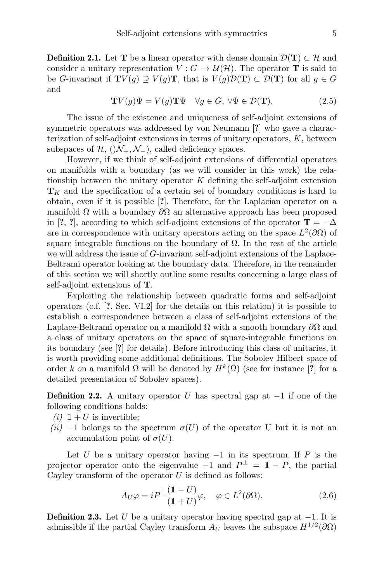**Definition 2.1.** Let **T** be a linear operator with dense domain  $\mathcal{D}(\mathbf{T}) \subset \mathcal{H}$  and consider a unitary representation  $V: G \to \mathcal{U}(\mathcal{H})$ . The operator **T** is said to be G-invariant if  $\mathbf{T}V(q) \supset V(q)\mathbf{T}$ , that is  $V(q)\mathcal{D}(\mathbf{T}) \subset \mathcal{D}(\mathbf{T})$  for all  $q \in G$ and

 $\mathbf{TV}(g)\Psi = V(g)\mathbf{T}\Psi \quad \forall g \in G, \ \forall \Psi \in \mathcal{D}(\mathbf{T}).$  (2.5)

The issue of the existence and uniqueness of self-adjoint extensions of symmetric operators was addressed by von Neumann [?] who gave a characterization of self-adjoint extensions in terms of unitary operators, K, between subspaces of  $\mathcal{H}$ ,  $(\mathcal{N}_+$ ,  $\mathcal{N}_-)$ , called deficiency spaces.

However, if we think of self-adjoint extensions of differential operators on manifolds with a boundary (as we will consider in this work) the relationship between the unitary operator  $K$  defining the self-adjoint extension  $T_K$  and the specification of a certain set of boundary conditions is hard to obtain, even if it is possible [?]. Therefore, for the Laplacian operator on a manifold  $\Omega$  with a boundary  $\partial\Omega$  an alternative approach has been proposed in [?, ?], according to which self-adjoint extensions of the operator  $\mathbf{T} = -\Delta$ are in correspondence with unitary operators acting on the space  $L^2(\partial\Omega)$  of square integrable functions on the boundary of  $\Omega$ . In the rest of the article we will address the issue of G-invariant self-adjoint extensions of the Laplace-Beltrami operator looking at the boundary data. Therefore, in the remainder of this section we will shortly outline some results concerning a large class of self-adjoint extensions of T.

Exploiting the relationship between quadratic forms and self-adjoint operators (c.f. [?, Sec. VI.2] for the details on this relation) it is possible to establish a correspondence between a class of self-adjoint extensions of the Laplace-Beltrami operator on a manifold  $\Omega$  with a smooth boundary  $\partial\Omega$  and a class of unitary operators on the space of square-integrable functions on its boundary (see [?] for details). Before introducing this class of unitaries, it is worth providing some additional definitions. The Sobolev Hilbert space of order k on a manifold  $\Omega$  will be denoted by  $H^k(\Omega)$  (see for instance [?] for a detailed presentation of Sobolev spaces).

**Definition 2.2.** A unitary operator U has spectral gap at  $-1$  if one of the following conditions holds:

- (*i*)  $1 + U$  is invertible;
- (ii) −1 belongs to the spectrum  $\sigma(U)$  of the operator U but it is not an accumulation point of  $\sigma(U)$ .

Let U be a unitary operator having  $-1$  in its spectrum. If P is the projector operator onto the eigenvalue  $-1$  and  $P^{\perp} = \mathbb{1} - P$ , the partial Cayley transform of the operator  $U$  is defined as follows:

$$
A_U \varphi = iP^{\perp} \frac{(1-U)}{(1+U)} \varphi, \quad \varphi \in L^2(\partial \Omega). \tag{2.6}
$$

**Definition 2.3.** Let U be a unitary operator having spectral gap at  $-1$ . It is admissible if the partial Cayley transform  $A_U$  leaves the subspace  $H^{1/2}(\partial\Omega)$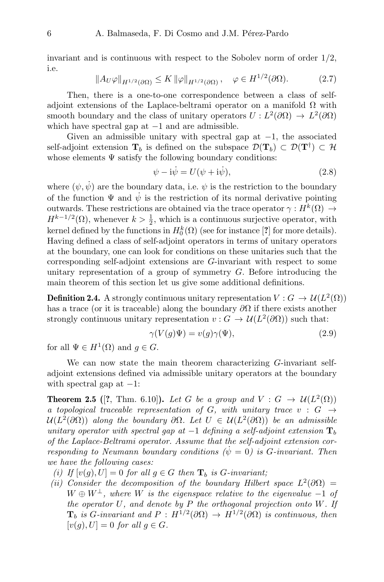invariant and is continuous with respect to the Sobolev norm of order  $1/2$ , i.e.

$$
||A_U\varphi||_{H^{1/2}(\partial\Omega)} \le K \|\varphi\|_{H^{1/2}(\partial\Omega)}, \quad \varphi \in H^{1/2}(\partial\Omega). \tag{2.7}
$$

Then, there is a one-to-one correspondence between a class of selfadjoint extensions of the Laplace-beltrami operator on a manifold  $\Omega$  with smooth boundary and the class of unitary operators  $U: L^2(\partial\Omega) \to L^2(\partial\Omega)$ which have spectral gap at  $-1$  and are admissible.

Given an admissible unitary with spectral gap at  $-1$ , the associated self-adjoint extension  $\mathbf{T}_b$  is defined on the subspace  $\mathcal{D}(\mathbf{T}_b) \subset \mathcal{D}(\mathbf{T}^{\dagger}) \subset \mathcal{H}$ whose elements  $\Psi$  satisfy the following boundary conditions:

$$
\psi - i\dot{\psi} = U(\psi + i\psi),\tag{2.8}
$$

where  $(\psi, \psi)$  are the boundary data, i.e.  $\psi$  is the restriction to the boundary of the function  $\Psi$  and  $\dot{\psi}$  is the restriction of its normal derivative pointing outwards. These restrictions are obtained via the trace operator  $\gamma: H^k(\Omega) \to$  $H^{k-1/2}(\Omega)$ , whenever  $k > \frac{1}{2}$ , which is a continuous surjective operator, with kernel defined by the functions in  $H_0^k(\Omega)$  (see for instance [?] for more details). Having defined a class of self-adjoint operators in terms of unitary operators at the boundary, one can look for conditions on these unitaries such that the corresponding self-adjoint extensions are G-invariant with respect to some unitary representation of a group of symmetry G. Before introducing the main theorem of this section let us give some additional definitions.

**Definition 2.4.** A strongly continuous unitary representation  $V : G \to \mathcal{U}(L^2(\Omega))$ has a trace (or it is traceable) along the boundary  $\partial\Omega$  if there exists another strongly continuous unitary representation  $v : G \to \mathcal{U}(L^2(\partial \Omega))$  such that:

$$
\gamma(V(g)\Psi) = v(g)\gamma(\Psi),\tag{2.9}
$$

for all  $\Psi \in H^1(\Omega)$  and  $g \in G$ .

We can now state the main theorem characterizing G-invariant selfadjoint extensions defined via admissible unitary operators at the boundary with spectral gap at  $-1$ :

<span id="page-6-0"></span>**Theorem 2.5** ([?, Thm. 6.10]). Let G be a group and  $V : G \to \mathcal{U}(L^2(\Omega))$ a topological traceable representation of G, with unitary trace  $v : G \rightarrow$  $\mathcal{U}(L^2(\partial\Omega))$  along the boundary  $\partial\Omega$ . Let  $U \in \mathcal{U}(L^2(\partial\Omega))$  be an admissible unitary operator with spectral gap at  $-1$  defining a self-adjoint extension  $\mathbf{T}_b$ of the Laplace-Beltrami operator. Assume that the self-adjoint extension corresponding to Neumann boundary conditions  $(\dot{\psi} = 0)$  is G-invariant. Then we have the following cases:

- (i) If  $[v(g), U] = 0$  for all  $g \in G$  then  $\mathbf{T}_b$  is G-invariant;
- (ii) Consider the decomposition of the boundary Hilbert space  $L^2(\partial\Omega)$  =  $W \oplus W^{\perp}$ , where W is the eigenspace relative to the eigenvalue -1 of the operator  $U$ , and denote by  $P$  the orthogonal projection onto  $W$ . If  $\mathbf{T}_b$  is G-invariant and  $P: H^{1/2}(\partial\Omega) \to H^{1/2}(\partial\Omega)$  is continuous, then  $[v(g), U] = 0$  for all  $g \in G$ .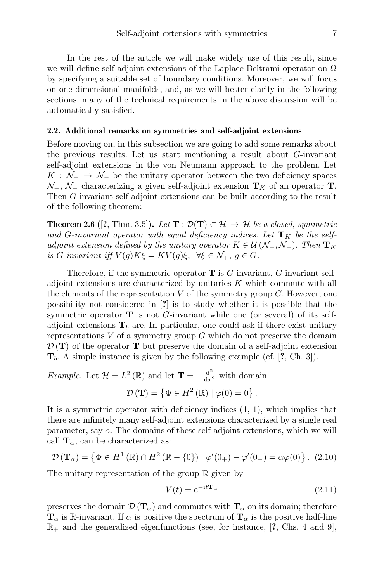In the rest of the article we will make widely use of this result, since we will define self-adjoint extensions of the Laplace-Beltrami operator on  $\Omega$ by specifying a suitable set of boundary conditions. Moreover, we will focus on one dimensional manifolds, and, as we will better clarify in the following sections, many of the technical requirements in the above discussion will be automatically satisfied.

#### <span id="page-7-0"></span>2.2. Additional remarks on symmetries and self-adjoint extensions

Before moving on, in this subsection we are going to add some remarks about the previous results. Let us start mentioning a result about G-invariant self-adjoint extensions in the von Neumann approach to the problem. Let  $K : \mathcal{N}_+ \to \mathcal{N}_-$  be the unitary operator between the two deficiency spaces  $\mathcal{N}_+$ ,  $\mathcal{N}_-$  characterizing a given self-adjoint extension  $\mathbf{T}_K$  of an operator **T**. Then G-invariant self adjoint extensions can be built according to the result of the following theorem:

<span id="page-7-1"></span>**Theorem 2.6** ([?, Thm. 3.5]). Let  $\mathbf{T} : \mathcal{D}(\mathbf{T}) \subset \mathcal{H} \to \mathcal{H}$  be a closed, symmetric and G-invariant operator with equal deficiency indices. Let  $\mathbf{T}_K$  be the selfadjoint extension defined by the unitary operator  $K \in \mathcal{U}(\mathcal{N}_+,\mathcal{N}_-)$ . Then  $\mathbf{T}_K$ is G-invariant iff  $V(g)K\xi = KV(g)\xi$ ,  $\forall \xi \in \mathcal{N}_+, g \in G$ .

Therefore, if the symmetric operator  $\mathbf T$  is  $G$ -invariant,  $G$ -invariant selfadjoint extensions are characterized by unitaries  $K$  which commute with all the elements of the representation  $V$  of the symmetry group  $G$ . However, one possibility not considered in [?] is to study whether it is possible that the symmetric operator  $\bf{T}$  is not G-invariant while one (or several) of its selfadjoint extensions  $\mathbf{T}_b$  are. In particular, one could ask if there exist unitary representations  $V$  of a symmetry group  $G$  which do not preserve the domain  $\mathcal{D}(\mathbf{T})$  of the operator **T** but preserve the domain of a self-adjoint extension  $\mathbf{T}_b$ . A simple instance is given by the following example (cf. [?, Ch. 3]).

*Example.* Let  $\mathcal{H} = L^2(\mathbb{R})$  and let  $\mathbf{T} = -\frac{d^2}{dx^2}$  with domain  $\mathcal{D}(\mathbf{T}) = \{ \Phi \in H^2(\mathbb{R}) \mid \varphi(0) = 0 \}.$ 

It is a symmetric operator with deficiency indices  $(1, 1)$ , which implies that there are infinitely many self-adjoint extensions characterized by a single real parameter, say  $\alpha$ . The domains of these self-adjoint extensions, which we will call  $\mathbf{T}_{\alpha}$ , can be characterized as:

$$
\mathcal{D}(\mathbf{T}_{\alpha}) = \{ \Phi \in H^{1}(\mathbb{R}) \cap H^{2}(\mathbb{R} - \{0\}) \mid \varphi'(0_{+}) - \varphi'(0_{-}) = \alpha \varphi(0) \}.
$$
 (2.10)

The unitary representation of the group  $\mathbb R$  given by

$$
V(t) = e^{-it\mathbf{T}_{\alpha}}
$$
\n(2.11)

preserves the domain  $\mathcal{D}(\mathbf{T}_{\alpha})$  and commutes with  $\mathbf{T}_{\alpha}$  on its domain; therefore  $\mathbf{T}_{\alpha}$  is R-invariant. If  $\alpha$  is positive the spectrum of  $\mathbf{T}_{\alpha}$  is the positive half-line  $\mathbb{R}_+$  and the generalized eigenfunctions (see, for instance, [?, Chs. 4 and 9],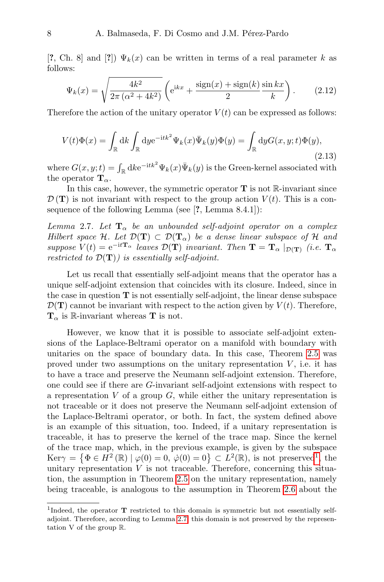[?, Ch. 8] and [?])  $\Psi_k(x)$  can be written in terms of a real parameter k as follows:

$$
\Psi_k(x) = \sqrt{\frac{4k^2}{2\pi (\alpha^2 + 4k^2)}} \left( e^{ikx} + \frac{\text{sign}(x) + \text{sign}(k)}{2} \frac{\sin kx}{k} \right).
$$
 (2.12)

Therefore the action of the unitary operator  $V(t)$  can be expressed as follows:

$$
V(t)\Phi(x) = \int_{\mathbb{R}} \mathrm{d}k \int_{\mathbb{R}} \mathrm{d}y \mathrm{e}^{-\mathrm{i}t k^2} \Psi_k(x) \bar{\Psi}_k(y) \Phi(y) = \int_{\mathbb{R}} \mathrm{d}y G(x, y; t) \Phi(y),\tag{2.13}
$$

where  $G(x, y; t) = \int_{\mathbb{R}} \mathrm{d}k e^{-\mathrm{i}t k^2} \Psi_k(x) \overline{\Psi}_k(y)$  is the Green-kernel associated with the operator  $\mathbf{T}_{\alpha}$ .

In this case, however, the symmetric operator  $T$  is not  $\mathbb{R}$ -invariant since  $\mathcal{D}(\mathbf{T})$  is not invariant with respect to the group action  $V(t)$ . This is a consequence of the following Lemma (see [?, Lemma 8.4.1]):

<span id="page-8-1"></span>Lemma 2.7. Let  $T_{\alpha}$  be an unbounded self-adjoint operator on a complex Hilbert space H. Let  $\mathcal{D}(\mathbf{T}) \subset \mathcal{D}(\mathbf{T}_{\alpha})$  be a dense linear subspace of H and suppose  $V(t) = e^{-itT_{\alpha}}$  leaves  $\mathcal{D}(T)$  invariant. Then  $T = T_{\alpha} |_{\mathcal{D}(T)}$  (i.e.  $T_{\alpha}$ ) restricted to  $\mathcal{D}(\mathbf{T})$  is essentially self-adjoint.

Let us recall that essentially self-adjoint means that the operator has a unique self-adjoint extension that coincides with its closure. Indeed, since in the case in question  $T$  is not essentially self-adjoint, the linear dense subspace  $\mathcal{D}(\mathbf{T})$  cannot be invariant with respect to the action given by  $V(t)$ . Therefore,  $T_{\alpha}$  is R-invariant whereas T is not.

However, we know that it is possible to associate self-adjoint extensions of the Laplace-Beltrami operator on a manifold with boundary with unitaries on the space of boundary data. In this case, Theorem [2.5](#page-6-0) was proved under two assumptions on the unitary representation  $V$ , i.e. it has to have a trace and preserve the Neumann self-adjoint extension. Therefore, one could see if there are G-invariant self-adjoint extensions with respect to a representation  $V$  of a group  $G$ , while either the unitary representation is not traceable or it does not preserve the Neumann self-adjoint extension of the Laplace-Beltrami operator, or both. In fact, the system defined above is an example of this situation, too. Indeed, if a unitary representation is traceable, it has to preserve the kernel of the trace map. Since the kernel of the trace map, which, in the previous example, is given by the subspace  $\text{Ker}\gamma = \left\{ \Phi \in H^2(\mathbb{R}) \mid \varphi(0) = 0, \ \dot{\varphi}(0) = 0 \right\} \subset L^2(\mathbb{R}), \text{ is not preserved}^1, \text{ the }$  $\text{Ker}\gamma = \left\{ \Phi \in H^2(\mathbb{R}) \mid \varphi(0) = 0, \ \dot{\varphi}(0) = 0 \right\} \subset L^2(\mathbb{R}), \text{ is not preserved}^1, \text{ the }$  $\text{Ker}\gamma = \left\{ \Phi \in H^2(\mathbb{R}) \mid \varphi(0) = 0, \ \dot{\varphi}(0) = 0 \right\} \subset L^2(\mathbb{R}), \text{ is not preserved}^1, \text{ the }$ unitary representation  $V$  is not traceable. Therefore, concerning this situation, the assumption in Theorem [2.5](#page-6-0) on the unitary representation, namely being traceable, is analogous to the assumption in Theorem [2.6](#page-7-1) about the

<span id="page-8-0"></span><sup>&</sup>lt;sup>1</sup>Indeed, the operator **T** restricted to this domain is symmetric but not essentially selfadjoint. Therefore, according to Lemma [2.7,](#page-8-1) this domain is not preserved by the representation V of the group R.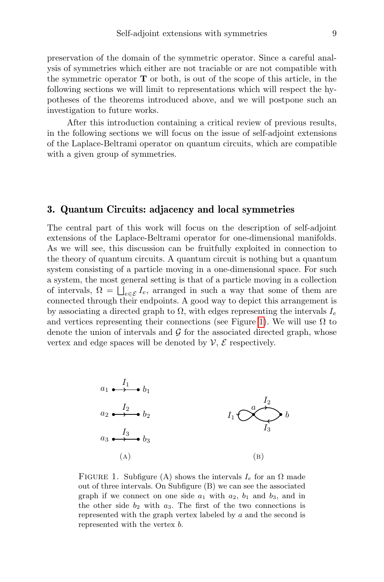preservation of the domain of the symmetric operator. Since a careful analysis of symmetries which either are not traciable or are not compatible with the symmetric operator  $\bf{T}$  or both, is out of the scope of this article, in the following sections we will limit to representations which will respect the hypotheses of the theorems introduced above, and we will postpone such an investigation to future works.

After this introduction containing a critical review of previous results, in the following sections we will focus on the issue of self-adjoint extensions of the Laplace-Beltrami operator on quantum circuits, which are compatible with a given group of symmetries.

## <span id="page-9-0"></span>3. Quantum Circuits: adjacency and local symmetries

The central part of this work will focus on the description of self-adjoint extensions of the Laplace-Beltrami operator for one-dimensional manifolds. As we will see, this discussion can be fruitfully exploited in connection to the theory of quantum circuits. A quantum circuit is nothing but a quantum system consisting of a particle moving in a one-dimensional space. For such a system, the most general setting is that of a particle moving in a collection of intervals,  $\Omega = \bigsqcup_{e \in \mathcal{E}} I_e$ , arranged in such a way that some of them are connected through their endpoints. A good way to depict this arrangement is by associating a directed graph to  $\Omega$ , with edges representing the intervals  $I_e$ and vertices representing their connections (see Figure [1\)](#page-9-1). We will use  $\Omega$  to denote the union of intervals and  $\mathcal G$  for the associated directed graph, whose vertex and edge spaces will be denoted by  $\mathcal{V}, \mathcal{E}$  respectively.

<span id="page-9-1"></span>

FIGURE 1. Subfigure (A) shows the intervals  $I_e$  for an  $\Omega$  made out of three intervals. On Subfigure (B) we can see the associated graph if we connect on one side  $a_1$  with  $a_2$ ,  $b_1$  and  $b_3$ , and in the other side  $b_2$  with  $a_3$ . The first of the two connections is represented with the graph vertex labeled by a and the second is represented with the vertex b.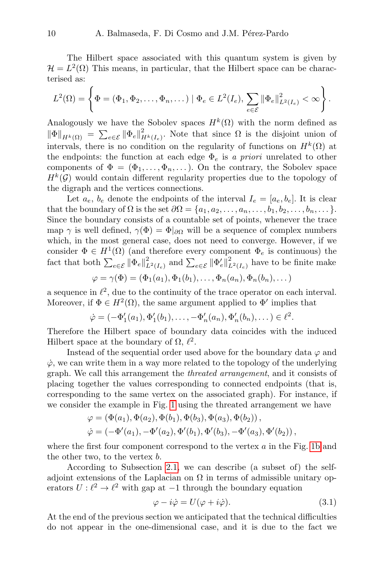The Hilbert space associated with this quantum system is given by  $\mathcal{H} = L^2(\Omega)$  This means, in particular, that the Hilbert space can be characterised as:

$$
L^2(\Omega) = \left\{ \Phi = (\Phi_1, \Phi_2, \dots, \Phi_n, \dots) \mid \Phi_e \in L^2(I_e), \sum_{e \in \mathcal{E}} \|\Phi_e\|_{L^2(I_e)}^2 < \infty \right\}.
$$

Analogously we have the Sobolev spaces  $H^k(\Omega)$  with the norm defined as  $\|\Phi\|_{H^k(\Omega)} = \sum_{e \in \mathcal{E}} \|\Phi_e\|_{H^k(I_e)}^2$ . Note that since  $\Omega$  is the disjoint union of intervals, there is no condition on the regularity of functions on  $H^k(\Omega)$  at the endpoints: the function at each edge  $\Phi_e$  is a priori unrelated to other components of  $\Phi = (\Phi_1, \ldots, \Phi_n, \ldots)$ . On the contrary, the Sobolev space  $H^k(G)$  would contain different regularity properties due to the topology of the digraph and the vertices connections.

Let  $a_e$ ,  $b_e$  denote the endpoints of the interval  $I_e = [a_e, b_e]$ . It is clear that the boundary of  $\Omega$  is the set  $\partial \Omega = \{a_1, a_2, \ldots, a_n, \ldots, b_1, b_2, \ldots, b_n, \ldots\}.$ Since the boundary consists of a countable set of points, whenever the trace map  $\gamma$  is well defined,  $\gamma(\Phi) = \Phi|_{\partial\Omega}$  will be a sequence of complex numbers which, in the most general case, does not need to converge. However, if we consider  $\Phi \in H^1(\Omega)$  (and therefore every component  $\Phi_e$  is continuous) the fact that both  $\sum_{e \in \mathcal{E}} ||\Phi_e||^2_{L^2(I_e)}$  and  $\sum_{e \in \mathcal{E}} ||\Phi'_e||^2_{L^2(I_e)}$  have to be finite make

$$
\varphi = \gamma(\Phi) = (\Phi_1(a_1), \Phi_1(b_1), \dots, \Phi_n(a_n), \Phi_n(b_n), \dots)
$$

a sequence in  $\ell^2$ , due to the continuity of the trace operator on each interval. Moreover, if  $\Phi \in H^2(\Omega)$ , the same argument applied to  $\Phi'$  implies that

$$
\dot{\varphi} = (-\Phi'_1(a_1), \Phi'_1(b_1), \dots, -\Phi'_n(a_n), \Phi'_n(b_n), \dots) \in \ell^2.
$$

Therefore the Hilbert space of boundary data coincides with the induced Hilbert space at the boundary of  $\Omega$ ,  $\ell^2$ .

Instead of the sequential order used above for the boundary data  $\varphi$  and  $\dot{\varphi}$ , we can write them in a way more related to the topology of the underlying graph. We call this arrangement the threated arrangement, and it consists of placing together the values corresponding to connected endpoints (that is, corresponding to the same vertex on the associated graph). For instance, if we consider the example in Fig. [1](#page-9-1) using the threated arrangement we have

$$
\varphi = (\Phi(a_1), \Phi(a_2), \Phi(b_1), \Phi(b_3), \Phi(a_3), \Phi(b_2)),
$$
  

$$
\dot{\varphi} = (-\Phi'(a_1), -\Phi'(a_2), \Phi'(b_1), \Phi'(b_3), -\Phi'(a_3), \Phi'(b_2)),
$$

where the first four component correspond to the vertex  $a$  in the Fig. [1b](#page-9-1) and the other two, to the vertex b.

According to Subsection [2.1,](#page-4-0) we can describe (a subset of) the selfadjoint extensions of the Laplacian on  $\Omega$  in terms of admissible unitary operators  $U: \ell^2 \to \ell^2$  with gap at -1 through the boundary equation

<span id="page-10-0"></span>
$$
\varphi - i\dot{\varphi} = U(\varphi + i\dot{\varphi}).\tag{3.1}
$$

At the end of the previous section we anticipated that the technical difficulties do not appear in the one-dimensional case, and it is due to the fact we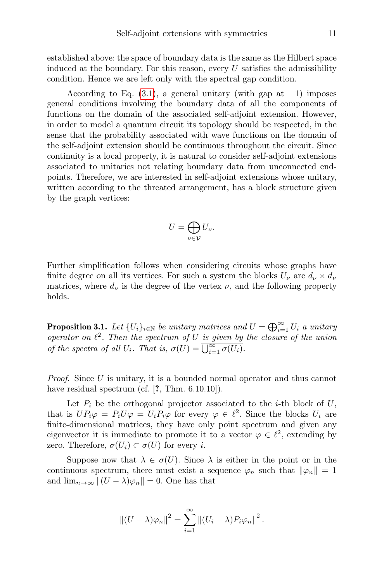established above: the space of boundary data is the same as the Hilbert space induced at the boundary. For this reason, every  $U$  satisfies the admissibility condition. Hence we are left only with the spectral gap condition.

According to Eq.  $(3.1)$ , a general unitary (with gap at -1) imposes general conditions involving the boundary data of all the components of functions on the domain of the associated self-adjoint extension. However, in order to model a quantum circuit its topology should be respected, in the sense that the probability associated with wave functions on the domain of the self-adjoint extension should be continuous throughout the circuit. Since continuity is a local property, it is natural to consider self-adjoint extensions associated to unitaries not relating boundary data from unconnected endpoints. Therefore, we are interested in self-adjoint extensions whose unitary, written according to the threated arrangement, has a block structure given by the graph vertices:

$$
U=\bigoplus_{\nu\in\mathcal{V}}U_{\nu}.
$$

Further simplification follows when considering circuits whose graphs have finite degree on all its vertices. For such a system the blocks  $U_{\nu}$  are  $d_{\nu} \times d_{\nu}$ matrices, where  $d_{\nu}$  is the degree of the vertex  $\nu$ , and the following property holds.

**Proposition 3.1.** Let  $\{U_i\}_{i\in\mathbb{N}}$  be unitary matrices and  $U = \bigoplus_{i=1}^{\infty} U_i$  a unitary operator on  $\ell^2$ . Then the spectrum of U is given by the closure of the union of the spectra of all  $U_i$ . That is,  $\sigma(U) = \bigcup_{i=1}^{\infty} \sigma(U_i)$ .

Proof. Since U is unitary, it is a bounded normal operator and thus cannot have residual spectrum (cf. [?, Thm. 6.10.10]).

Let  $P_i$  be the orthogonal projector associated to the *i*-th block of  $U$ , that is  $UP_i\varphi = P_iU\varphi = U_iP_i\varphi$  for every  $\varphi \in \ell^2$ . Since the blocks  $U_i$  are finite-dimensional matrices, they have only point spectrum and given any eigenvector it is immediate to promote it to a vector  $\varphi \in \ell^2$ , extending by zero. Therefore,  $\sigma(U_i) \subset \sigma(U)$  for every *i*.

Suppose now that  $\lambda \in \sigma(U)$ . Since  $\lambda$  is either in the point or in the continuous spectrum, there must exist a sequence  $\varphi_n$  such that  $\|\varphi_n\| = 1$ and  $\lim_{n\to\infty} ||(U - \lambda)\varphi_n|| = 0$ . One has that

$$
||(U - \lambda)\varphi_n||^2 = \sum_{i=1}^{\infty}||(U_i - \lambda)P_i\varphi_n||^2.
$$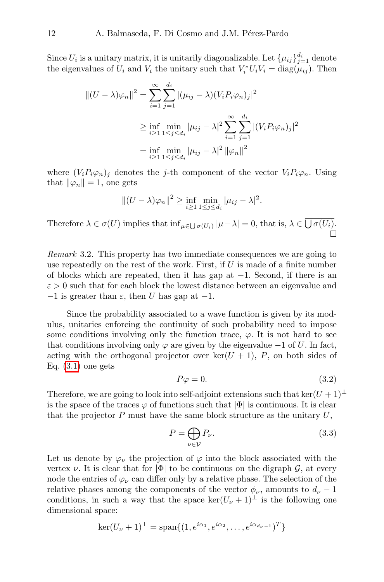Since  $U_i$  is a unitary matrix, it is unitarily diagonalizable. Let  $\{\mu_{ij}\}_{j=1}^{d_i}$  denote the eigenvalues of  $U_i$  and  $V_i$  the unitary such that  $V_i^* U_i V_i = \text{diag}(\mu_{ij})$ . Then

$$
||(U - \lambda)\varphi_n||^2 = \sum_{i=1}^{\infty} \sum_{j=1}^{d_i} |(\mu_{ij} - \lambda)(V_i P_i \varphi_n)_j|^2
$$
  

$$
\geq \inf_{i \geq 1} \min_{1 \leq j \leq d_i} |\mu_{ij} - \lambda|^2 \sum_{i=1}^{\infty} \sum_{j=1}^{d_i} |(V_i P_i \varphi_n)_j|^2
$$
  

$$
= \inf_{i \geq 1} \min_{1 \leq j \leq d_i} |\mu_{ij} - \lambda|^2 ||\varphi_n||^2
$$

where  $(V_iP_i\varphi_n)_j$  denotes the j-th component of the vector  $V_iP_i\varphi_n$ . Using that  $\|\varphi_n\| = 1$ , one gets

$$
||(U - \lambda)\varphi_n||^2 \ge \inf_{i \ge 1} \min_{1 \le j \le d_i} |\mu_{ij} - \lambda|^2.
$$

Therefore  $\lambda \in \sigma(U)$  implies that  $\inf_{\mu \in \bigcup \sigma(U_i)} |\mu - \lambda| = 0$ , that is,  $\lambda \in \bigcup \sigma(U_i)$ .  $\Box$ 

Remark 3.2. This property has two immediate consequences we are going to use repeatedly on the rest of the work. First, if  $U$  is made of a finite number of blocks which are repeated, then it has gap at  $-1$ . Second, if there is an  $\varepsilon > 0$  such that for each block the lowest distance between an eigenvalue and  $-1$  is greater than  $\varepsilon$ , then U has gap at  $-1$ .

Since the probability associated to a wave function is given by its modulus, unitaries enforcing the continuity of such probability need to impose some conditions involving only the function trace,  $\varphi$ . It is not hard to see that conditions involving only  $\varphi$  are given by the eigenvalue  $-1$  of U. In fact, acting with the orthogonal projector over  $\ker(U + 1)$ , P, on both sides of Eq.  $(3.1)$  one gets

$$
P\varphi = 0.\t\t(3.2)
$$

Therefore, we are going to look into self-adjoint extensions such that ker $(U + 1)^{\perp}$ is the space of the traces  $\varphi$  of functions such that  $|\Phi|$  is continuous. It is clear that the projector  $P$  must have the same block structure as the unitary  $U$ ,

$$
P = \bigoplus_{\nu \in \mathcal{V}} P_{\nu}.
$$
\n(3.3)

Let us denote by  $\varphi_{\nu}$  the projection of  $\varphi$  into the block associated with the vertex v. It is clear that for  $|\Phi|$  to be continuous on the digraph  $\mathcal{G}$ , at every node the entries of  $\varphi_{\nu}$  can differ only by a relative phase. The selection of the relative phases among the components of the vector  $\phi_{\nu}$ , amounts to  $d_{\nu} - 1$ conditions, in such a way that the space ker( $U_{\nu}$  + 1)<sup>⊥</sup> is the following one dimensional space:

$$
\ker(U_{\nu}+1)^{\perp} = \operatorname{span}\{(1, e^{i\alpha_1}, e^{i\alpha_2}, \dots, e^{i\alpha_{d_{\nu}-1}})^T\}
$$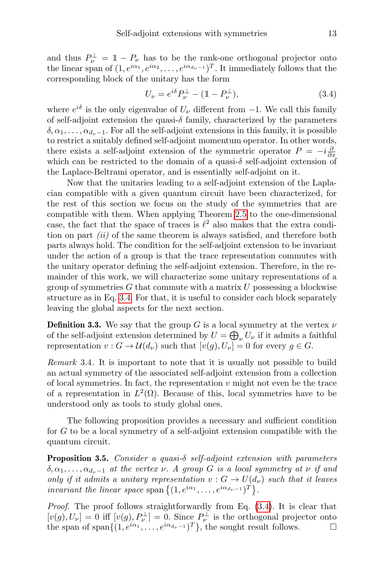and thus  $P_{\nu}^{\perp} = \mathbb{1} - P_{\nu}$  has to be the rank-one orthogonal projector onto the linear span of  $(1, e^{i\alpha_1}, e^{i\alpha_2}, \dots, e^{i\alpha_{d_{\nu}-1}})^T$ . It immediately follows that the corresponding block of the unitary has the form

<span id="page-13-0"></span>
$$
U_{\nu} = e^{i\delta} P_{\nu}^{\perp} - (1 - P_{\nu}^{\perp}), \tag{3.4}
$$

where  $e^{i\delta}$  is the only eigenvalue of  $U_{\nu}$  different from  $-1$ . We call this family of self-adjoint extension the quasi- $\delta$  family, characterized by the parameters  $\delta, \alpha_1, \ldots, \alpha_{d_{\nu-1}}$ . For all the self-adjoint extensions in this family, it is possible to restrict a suitably defined self-adjoint momentum operator. In other words, there exists a self-adjoint extension of the symmetric operator  $P = -i\frac{\partial}{\partial x}$ which can be restricted to the domain of a quasi- $\delta$  self-adjoint extension of the Laplace-Beltrami operator, and is essentially self-adjoint on it.

Now that the unitaries leading to a self-adjoint extension of the Laplacian compatible with a given quantum circuit have been characterized, for the rest of this section we focus on the study of the symmetries that are compatible with them. When applying Theorem [2.5](#page-6-0) to the one-dimensional case, the fact that the space of traces is  $\ell^2$  also makes that the extra condition on part  $(ii)$  of the same theorem is always satisfied, and therefore both parts always hold. The condition for the self-adjoint extension to be invariant under the action of a group is that the trace representation commutes with the unitary operator defining the self-adjoint extension. Therefore, in the remainder of this work, we will characterize some unitary representations of a group of symmetries  $G$  that commute with a matrix  $U$  possessing a blockwise structure as in Eq. [3.4.](#page-13-0) For that, it is useful to consider each block separately leaving the global aspects for the next section.

**Definition 3.3.** We say that the group G is a local symmetry at the vertex  $\nu$ of the self-adjoint extension determined by  $U = \bigoplus_{\nu} U_{\nu}$  if it admits a faithful representation  $v : G \to \mathcal{U}(d_{\nu})$  such that  $[v(q), U_{\nu}] = 0$  for every  $q \in G$ .

Remark 3.4. It is important to note that it is usually not possible to build an actual symmetry of the associated self-adjoint extension from a collection of local symmetries. In fact, the representation  $v$  might not even be the trace of a representation in  $L^2(\Omega)$ . Because of this, local symmetries have to be understood only as tools to study global ones.

The following proposition provides a necessary and sufficient condition for G to be a local symmetry of a self-adjoint extension compatible with the quantum circuit.

<span id="page-13-1"></span>**Proposition 3.5.** Consider a quasi- $\delta$  self-adjoint extension with parameters  $\delta, \alpha_1, \ldots, \alpha_{d_{\nu}-1}$  at the vertex  $\nu$ . A group G is a local symmetry at  $\nu$  if and only if it admits a unitary representation  $v : G \to U(d_{\nu})$  such that it leaves *invariant the linear space* span  $\{(1, e^{i\alpha_1}, \ldots, e^{i\alpha_{d_{\nu}-1}})^T\}$ .

Proof. The proof follows straightforwardly from Eq. [\(3.4\)](#page-13-0). It is clear that  $[v(g), U_{\nu}] = 0$  iff  $[v(g), P_{\nu}^{\perp}] = 0$ . Since  $P_{\nu}^{\perp}$  is the orthogonal projector onto the span of span $\{(1, e^{i\alpha_1}, \ldots, e^{i\alpha_{d_\nu-1}})^T\}$ , the sought result follows.  $\Box$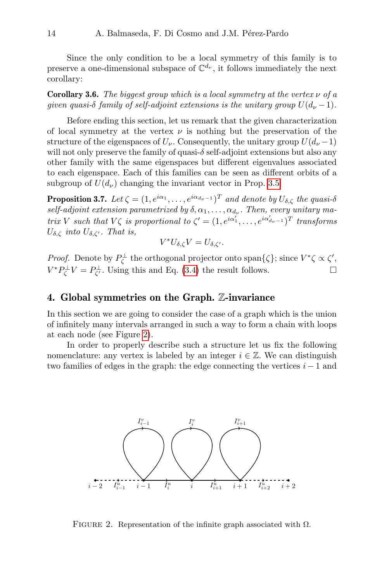Since the only condition to be a local symmetry of this family is to preserve a one-dimensional subspace of  $\mathbb{C}^{d_{\nu}}$ , it follows immediately the next corollary:

**Corollary 3.6.** The biggest group which is a local symmetry at the vertex  $\nu$  of a given quasi-δ family of self-adjoint extensions is the unitary group  $U(d_{\nu}-1)$ .

Before ending this section, let us remark that the given characterization of local symmetry at the vertex  $\nu$  is nothing but the preservation of the structure of the eigenspaces of  $U_{\nu}$ . Consequently, the unitary group  $U(d_{\nu} - 1)$ will not only preserve the family of quasi-δ self-adjoint extensions but also any other family with the same eigenspaces but different eigenvalues associated to each eigenspace. Each of this families can be seen as different orbits of a subgroup of  $U(d_{\nu})$  changing the invariant vector in Prop. [3.5:](#page-13-1)

<span id="page-14-2"></span>**Proposition 3.7.** Let  $\zeta = (1, e^{i\alpha_1}, \dots, e^{i\alpha_{d_{\nu}-1}})^T$  and denote by  $U_{\delta,\zeta}$  the quasi- $\delta$ self-adjoint extension parametrized by  $\delta, \alpha_1, \ldots, \alpha_{d_\nu}$ . Then, every unitary matrix V such that  $V\zeta$  is proportional to  $\zeta' = (1, e^{i\alpha_1'}, \dots, e^{i\alpha_{d_{\nu}-1}'})^T$  transforms  $U_{\delta,\zeta}$  into  $U_{\delta,\zeta}$ . That is,

$$
V^*U_{\delta,\zeta}V=U_{\delta,\zeta'}.
$$

*Proof.* Denote by  $P_{\zeta}^{\perp}$  the orthogonal projector onto span $\{\zeta\}$ ; since  $V^*\zeta \propto \zeta'$ ,  $V^*P^{\perp}_{\zeta}V = P^{\perp}_{\zeta'}$ . Using this and Eq. [\(3.4\)](#page-13-0) the result follows.

## <span id="page-14-0"></span>4. Global symmetries on the Graph. Z-invariance

In this section we are going to consider the case of a graph which is the union of infinitely many intervals arranged in such a way to form a chain with loops at each node (see Figure [2\)](#page-14-1).

<span id="page-14-1"></span>In order to properly describe such a structure let us fix the following nomenclature: any vertex is labeled by an integer  $i \in \mathbb{Z}$ . We can distinguish two families of edges in the graph: the edge connecting the vertices  $i - 1$  and



FIGURE 2. Representation of the infinite graph associated with  $\Omega$ .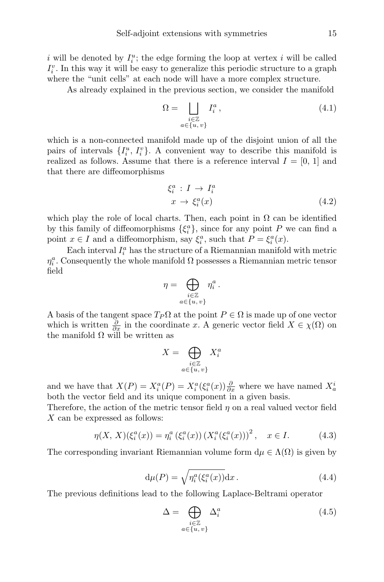i will be denoted by  $I_i^u$ ; the edge forming the loop at vertex i will be called  $I_i^v$ . In this way it will be easy to generalize this periodic structure to a graph where the "unit cells" at each node will have a more complex structure.

As already explained in the previous section, we consider the manifold

$$
\Omega = \bigsqcup_{\substack{i \in \mathbb{Z} \\ a \in \{u, v\}}} I_i^a, \tag{4.1}
$$

which is a non-connected manifold made up of the disjoint union of all the pairs of intervals  $\{I_i^u, I_i^v\}$ . A convenient way to describe this manifold is realized as follows. Assume that there is a reference interval  $I = [0, 1]$  and that there are diffeomorphisms

$$
\xi_i^a : I \to I_i^a
$$
  

$$
x \to \xi_i^a(x)
$$
 (4.2)

which play the role of local charts. Then, each point in  $\Omega$  can be identified by this family of diffeomorphisms  $\{\xi_i^a\}$ , since for any point P we can find a point  $x \in I$  and a diffeomorphism, say  $\xi_i^a$ , such that  $P = \xi_i^a(x)$ .

Each interval  $I_i^a$  has the structure of a Riemannian manifold with metric  $\eta_i^a$ . Consequently the whole manifold  $\Omega$  possesses a Riemannian metric tensor field

$$
\eta = \bigoplus_{\substack{i \in \mathbb{Z} \\ a \in \{u, v\}}} \eta_i^a.
$$

A basis of the tangent space  $T_P \Omega$  at the point  $P \in \Omega$  is made up of one vector which is written  $\frac{\partial}{\partial x}$  in the coordinate x. A generic vector field  $X \in \chi(\Omega)$  on the manifold  $\Omega$  will be written as

$$
X = \bigoplus_{\substack{i \in \mathbb{Z} \\ a \in \{u, v\}}} X_i^a
$$

and we have that  $X(P) = X_i^a(P) = X_i^a(\xi_i^a(x))\frac{\partial}{\partial x}$  where we have named  $X_a^i$ both the vector field and its unique component in a given basis.

Therefore, the action of the metric tensor field  $\eta$  on a real valued vector field X can be expressed as follows:

$$
\eta(X, X)(\xi_i^a(x)) = \eta_i^a(\xi_i^a(x)) (X_i^a(\xi_i^a(x)))^2, \quad x \in I.
$$
 (4.3)

The corresponding invariant Riemannian volume form  $d\mu \in \Lambda(\Omega)$  is given by

$$
d\mu(P) = \sqrt{\eta_i^a(\xi_i^a(x))}dx.
$$
 (4.4)

The previous definitions lead to the following Laplace-Beltrami operator

$$
\Delta = \bigoplus_{\substack{i \in \mathbb{Z} \\ a \in \{u, v\}}} \Delta_i^a \tag{4.5}
$$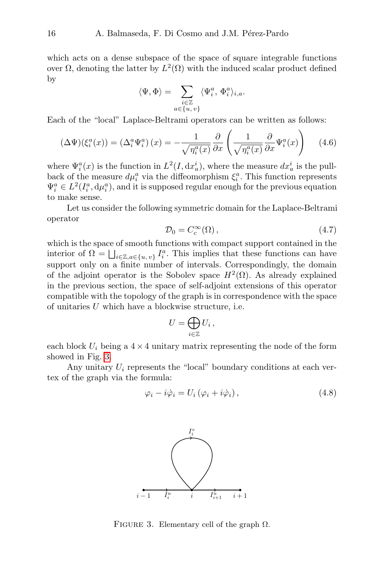which acts on a dense subspace of the space of square integrable functions over  $\Omega$ , denoting the latter by  $L^2(\Omega)$  with the induced scalar product defined by

$$
\langle \Psi,\Phi\rangle=\sum_{\substack{i\in\mathbb{Z}\\ a\in\{u,\,v\}}}\langle \Psi_i^a,\,\Phi_i^a\rangle_{i,a}.
$$

Each of the "local" Laplace-Beltrami operators can be written as follows:

$$
(\Delta\Psi)(\xi_i^a(x)) = (\Delta_i^a \Psi_i^a)(x) = -\frac{1}{\sqrt{\eta_i^a(x)}} \frac{\partial}{\partial x} \left(\frac{1}{\sqrt{\eta_i^a(x)}} \frac{\partial}{\partial x} \Psi_i^a(x)\right) \tag{4.6}
$$

where  $\Psi_i^a(x)$  is the function in  $L^2(I, dx_a^i)$ , where the measure  $dx_a^i$  is the pullback of the measure  $d\mu_i^a$  via the diffeomorphism  $\xi_i^a$ . This function represents  $\Psi_i^a \in L^2(I_i^a, \mathrm{d}\mu_i^a)$ , and it is supposed regular enough for the previous equation to make sense.

Let us consider the following symmetric domain for the Laplace-Beltrami operator

$$
\mathcal{D}_0 = C_c^{\infty}(\Omega),\tag{4.7}
$$

which is the space of smooth functions with compact support contained in the interior of  $\Omega = \bigsqcup_{i \in \mathbb{Z}, a \in \{u, v\}} I_i^a$ . This implies that these functions can have support only on a finite number of intervals. Correspondingly, the domain of the adjoint operator is the Sobolev space  $H^2(\Omega)$ . As already explained in the previous section, the space of self-adjoint extensions of this operator compatible with the topology of the graph is in correspondence with the space of unitaries U which have a blockwise structure, i.e.

$$
U=\bigoplus_{i\in\mathbb{Z}}U_i\,,
$$

each block  $U_i$  being a  $4 \times 4$  unitary matrix representing the node of the form showed in Fig. [3.](#page-16-0)

<span id="page-16-0"></span>Any unitary  $U_i$  represents the "local" boundary conditions at each vertex of the graph via the formula:

$$
\varphi_i - i\dot{\varphi}_i = U_i \left( \varphi_i + i\dot{\varphi}_i \right), \tag{4.8}
$$



FIGURE 3. Elementary cell of the graph  $\Omega$ .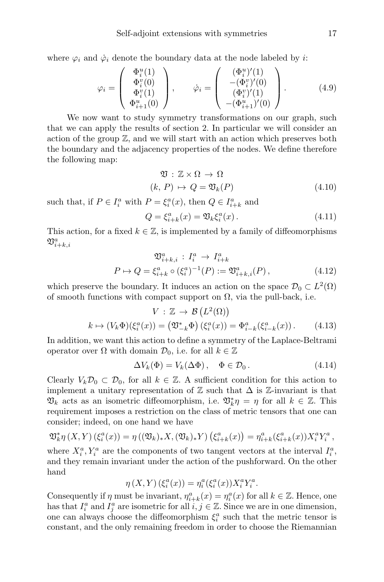where  $\varphi_i$  and  $\dot{\varphi}_i$  denote the boundary data at the node labeled by *i*:

$$
\varphi_i = \begin{pmatrix} \Phi_i^u(1) \\ \Phi_i^v(0) \\ \Phi_i^v(1) \\ \Phi_{i+1}^u(0) \end{pmatrix}, \qquad \dot{\varphi}_i = \begin{pmatrix} (\Phi_i^u)'(1) \\ -(\Phi_i^v)'(0) \\ (\Phi_i^v)'(1) \\ -(\Phi_{i+1}^u)'(0) \end{pmatrix}.
$$
 (4.9)

We now want to study symmetry transformations on our graph, such that we can apply the results of section 2. In particular we will consider an action of the group  $\mathbb{Z}$ , and we will start with an action which preserves both the boundary and the adjacency properties of the nodes. We define therefore the following map:

$$
\mathfrak{V}: \mathbb{Z} \times \Omega \to \Omega
$$
  
(k, P)  $\mapsto Q = \mathfrak{V}_k(P)$  (4.10)

such that, if  $P \in I_i^a$  with  $P = \xi_i^a(x)$ , then  $Q \in I_{i+k}^a$  and

$$
Q = \xi_{i+k}^a(x) = \mathfrak{V}_k \xi_i^a(x). \tag{4.11}
$$

This action, for a fixed  $k \in \mathbb{Z}$ , is implemented by a family of diffeomorphisms  $\mathfrak{V}^a_{i+k,i}$ 

$$
\mathfrak{V}_{i+k,i}^{a}: I_{i}^{a} \to I_{i+k}^{a}
$$
  

$$
P \mapsto Q = \xi_{i+k}^{a} \circ (\xi_{i}^{a})^{-1}(P) := \mathfrak{V}_{i+k,i}^{a}(P),
$$
 (4.12)

which preserve the boundary. It induces an action on the space  $\mathcal{D}_0 \subset L^2(\Omega)$ of smooth functions with compact support on  $\Omega$ , via the pull-back, i.e.

$$
V: \mathbb{Z} \to \mathcal{B}\left(L^2(\Omega)\right)
$$

$$
k \mapsto (V_k \Phi)(\xi_i^a(x)) = \left(\mathfrak{V}_{-k}^* \Phi\right)(\xi_i^a(x)) = \Phi_{i-k}^a(\xi_{i-k}^a(x)). \tag{4.13}
$$

In addition, we want this action to define a symmetry of the Laplace-Beltrami operator over  $\Omega$  with domain  $\mathcal{D}_0$ , i.e. for all  $k \in \mathbb{Z}$ 

$$
\Delta V_k(\Phi) = V_k(\Delta \Phi), \quad \Phi \in \mathcal{D}_0.
$$
\n(4.14)

Clearly  $V_k\mathcal{D}_0 \subset \mathcal{D}_0$ , for all  $k \in \mathbb{Z}$ . A sufficient condition for this action to implement a unitary representation of  $\mathbb Z$  such that  $\Delta$  is  $\mathbb Z$ -invariant is that  $\mathfrak{V}_k$  acts as an isometric diffeomorphism, i.e.  $\mathfrak{V}_k^*\eta = \eta$  for all  $k \in \mathbb{Z}$ . This requirement imposes a restriction on the class of metric tensors that one can consider; indeed, on one hand we have

$$
\mathfrak{V}_{k}^{*}\eta(X,Y)(\xi_{i}^{a}(x)) = \eta((\mathfrak{V}_{k})_{*}X,(\mathfrak{V}_{k})_{*}Y)(\xi_{i+k}^{a}(x)) = \eta_{i+k}^{a}(\xi_{i+k}^{a}(x))X_{i}^{a}Y_{i}^{a},
$$

where  $X_i^a, Y_i^a$  are the components of two tangent vectors at the interval  $I_i^a$ , and they remain invariant under the action of the pushforward. On the other hand

$$
\eta(X,Y)(\xi_i^a(x)) = \eta_i^a(\xi_i^a(x))X_i^aY_i^a.
$$

Consequently if  $\eta$  must be invariant,  $\eta_{i+k}^a(x) = \eta_i^a(x)$  for all  $k \in \mathbb{Z}$ . Hence, one has that  $I_i^a$  and  $I_j^a$  are isometric for all  $i, j \in \mathbb{Z}$ . Since we are in one dimension, one can always choose the diffeomorphism  $\xi_i^a$  such that the metric tensor is constant, and the only remaining freedom in order to choose the Riemannian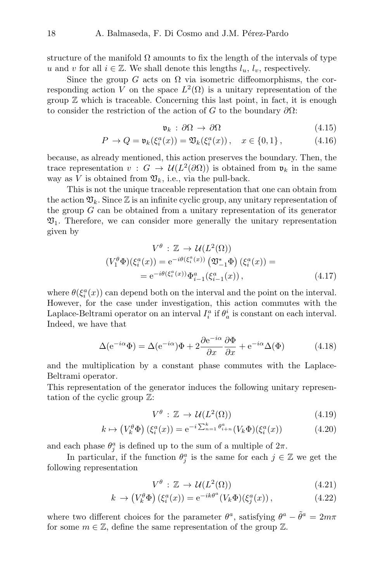structure of the manifold  $\Omega$  amounts to fix the length of the intervals of type u and v for all  $i \in \mathbb{Z}$ . We shall denote this lengths  $l_u, l_v$ , respectively.

Since the group G acts on  $\Omega$  via isometric diffeomorphisms, the corresponding action V on the space  $L^2(\Omega)$  is a unitary representation of the group  $\mathbb Z$  which is traceable. Concerning this last point, in fact, it is enough to consider the restriction of the action of G to the boundary  $\partial\Omega$ :

$$
\mathfrak{v}_k : \partial \Omega \to \partial \Omega \tag{4.15}
$$

$$
P \to Q = \mathfrak{v}_k(\xi_i^a(x)) = \mathfrak{V}_k(\xi_i^a(x)), \quad x \in \{0, 1\},\tag{4.16}
$$

because, as already mentioned, this action preserves the boundary. Then, the trace representation  $v : G \to \mathcal{U}(L^2(\partial \Omega))$  is obtained from  $\mathfrak{v}_k$  in the same way as V is obtained from  $\mathfrak{V}_k$ , i.e., via the pull-back.

This is not the unique traceable representation that one can obtain from the action  $\mathfrak{V}_k$ . Since  $\mathbb Z$  is an infinite cyclic group, any unitary representation of the group  $G$  can be obtained from a unitary representation of its generator  $\mathfrak{V}_1$ . Therefore, we can consider more generally the unitary representation given by

$$
V^{\theta} : \mathbb{Z} \to \mathcal{U}(L^{2}(\Omega))
$$
  

$$
(V_{1}^{\theta}\Phi)(\xi_{i}^{a}(x)) = e^{-i\theta(\xi_{i}^{a}(x))} (\mathfrak{V}_{-1}^{*}\Phi) (\xi_{i}^{a}(x)) =
$$
  

$$
= e^{-i\theta(\xi_{i}^{a}(x))} \Phi_{i-1}^{a}(\xi_{i-1}^{a}(x)), \qquad (4.17)
$$

where  $\theta(\xi_i^a(x))$  can depend both on the interval and the point on the interval. However, for the case under investigation, this action commutes with the Laplace-Beltrami operator on an interval  $I_i^a$  if  $\theta_a^i$  is constant on each interval. Indeed, we have that

$$
\Delta(e^{-i\alpha}\Phi) = \Delta(e^{-i\alpha})\Phi + 2\frac{\partial e^{-i\alpha}}{\partial x}\frac{\partial \Phi}{\partial x} + e^{-i\alpha}\Delta(\Phi)
$$
 (4.18)

and the multiplication by a constant phase commutes with the Laplace-Beltrami operator.

This representation of the generator induces the following unitary representation of the cyclic group Z:

$$
V^{\theta} : \mathbb{Z} \to \mathcal{U}(L^2(\Omega)) \tag{4.19}
$$

<span id="page-18-0"></span>
$$
k \mapsto \left(V_k^{\theta} \Phi\right)\left(\xi_i^a(x)\right) = e^{-i\sum_{n=1}^k \theta_{i+n}^a} \left(V_k \Phi\right)\left(\xi_i^a(x)\right) \tag{4.20}
$$

and each phase  $\theta_j^a$  is defined up to the sum of a multiple of  $2\pi$ .

In particular, if the function  $\theta_j^a$  is the same for each  $j \in \mathbb{Z}$  we get the following representation

$$
V^{\theta} : \mathbb{Z} \to \mathcal{U}(L^2(\Omega)) \tag{4.21}
$$

$$
k \to \left(V_k^{\theta} \Phi\right) \left(\xi_i^a(x)\right) = e^{-ik\theta^a} \left(V_k \Phi\right) \left(\xi_j^a(x)\right),\tag{4.22}
$$

where two different choices for the parameter  $\theta^a$ , satisfying  $\theta^a - \tilde{\theta}^a = 2m\pi$ for some  $m \in \mathbb{Z}$ , define the same representation of the group  $\mathbb{Z}$ .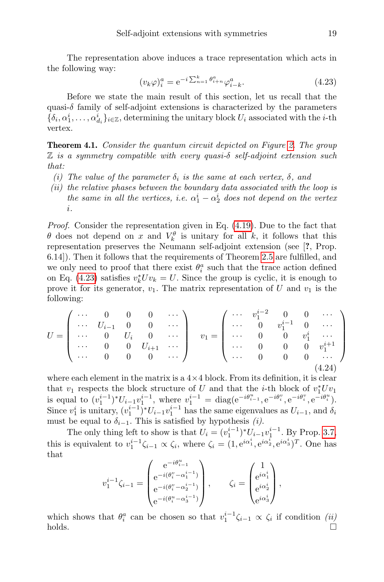The representation above induces a trace representation which acts in the following way:

<span id="page-19-0"></span>
$$
(v_k \varphi)_i^a = e^{-i \sum_{n=1}^k \theta_{i+n}^a} \varphi_{i-k}^a.
$$
\n(4.23)

Before we state the main result of this section, let us recall that the quasi- $\delta$  family of self-adjoint extensions is characterized by the parameters  $\{\delta_i, \alpha_1^i, \ldots, \alpha_{d_i}^i\}_{i \in \mathbb{Z}}$ , determining the unitary block  $U_i$  associated with the *i*-th vertex.

<span id="page-19-1"></span>Theorem 4.1. Consider the quantum circuit depicted on Figure [2.](#page-14-1) The group  $\mathbb Z$  is a symmetry compatible with every quasi- $\delta$  self-adjoint extension such that:

- (i) The value of the parameter  $\delta_i$  is the same at each vertex,  $\delta$ , and
- (ii) the relative phases between the boundary data associated with the loop is the same in all the vertices, i.e.  $\alpha_1^i - \alpha_2^i$  does not depend on the vertex i.

*Proof.* Consider the representation given in Eq.  $(4.19)$ . Due to the fact that  $\theta$  does not depend on x and  $V_k^{\theta}$  is unitary for all k, it follows that this representation preserves the Neumann self-adjoint extension (see [?, Prop. 6.14]). Then it follows that the requirements of Theorem [2.5](#page-6-0) are fulfilled, and we only need to proof that there exist  $\theta_i^a$  such that the trace action defined on Eq. [\(4.23\)](#page-19-0) satisfies  $v_k^* U v_k = U$ . Since the group is cyclic, it is enough to prove it for its generator,  $v_1$ . The matrix representation of U and  $v_1$  is the following:

$$
U = \begin{pmatrix} \cdots & 0 & 0 & 0 & \cdots \\ \cdots & U_{i-1} & 0 & 0 & \cdots \\ \cdots & 0 & U_i & 0 & \cdots \\ \cdots & 0 & 0 & U_{i+1} & \cdots \\ \cdots & 0 & 0 & 0 & \cdots \end{pmatrix} \quad v_1 = \begin{pmatrix} \cdots & v_1^{i-2} & 0 & 0 & \cdots \\ \cdots & 0 & v_1^{i-1} & 0 & \cdots \\ \cdots & 0 & 0 & v_1^{i} & \cdots \\ \cdots & 0 & 0 & 0 & v_1^{i+1} \\ \cdots & 0 & 0 & 0 & \cdots \end{pmatrix}
$$
(4.24)

where each element in the matrix is a  $4\times4$  block. From its definition, it is clear that  $v_1$  respects the block structure of U and that the *i*-th block of  $v_1^* U v_1$ is equal to  $(v_1^{i-1})^*U_{i-1}v_1^{i-1}$ , where  $v_1^{i-1} = \text{diag}(e^{-i\theta_{i-1}^u}, e^{-i\theta_i^v}, e^{-i\theta_i^v}, e^{-i\theta_i^u})$ . Since  $v_1^i$  is unitary,  $(v_1^{i-1})^* U_{i-1} v_1^{i-1}$  has the same eigenvalues as  $U_{i-1}$ , and  $\delta_i$ must be equal to  $\delta_{i-1}$ . This is satisfied by hypothesis (i).

The only thing left to show is that  $U_i = (v_1^{i-1})^* U_{i-1} v_1^{i-1}$ . By Prop. [3.7,](#page-14-2) this is equivalent to  $v_1^{i-1}\zeta_{i-1} \propto \zeta_i$ , where  $\zeta_i = (1, e^{i\alpha_1^i}, e^{i\alpha_2^i}, e^{i\alpha_3^i})^T$ . One has that

$$
v_1^{i-1}\zeta_{i-1} = \begin{pmatrix} e^{-i\theta_{i-1}^u} \\ e^{-i(\theta_i^v - \alpha_1^{i-1})} \\ e^{-i(\theta_i^v - \alpha_2^{i-1})} \\ e^{-i(\theta_i^u - \alpha_3^{i-1})} \end{pmatrix}, \qquad \zeta_i = \begin{pmatrix} 1 \\ e^{i\alpha_1^i} \\ e^{i\alpha_2^i} \\ e^{i\alpha_3^i} \end{pmatrix},
$$

which shows that  $\theta_i^a$  can be chosen so that  $v_1^{i-1}\zeta_{i-1} \propto \zeta_i$  if condition (ii)  $h$ olds.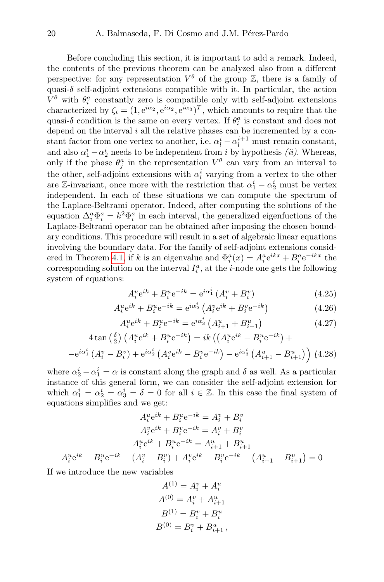Before concluding this section, it is important to add a remark. Indeed, the contents of the previous theorem can be analyzed also from a different perspective: for any representation  $V^{\theta}$  of the group  $\mathbb{Z}$ , there is a family of quasi- $\delta$  self-adjoint extensions compatible with it. In particular, the action  $V^{\theta}$  with  $\theta_i^a$  constantly zero is compatible only with self-adjoint extensions characterized by  $\zeta_i = (1, e^{i\alpha_2}, e^{i\alpha_3}, e^{i\alpha_3})^T$ , which amounts to require that the quasi- $\delta$  condition is the same on every vertex. If  $\theta_i^a$  is constant and does not depend on the interval  $i$  all the relative phases can be incremented by a constant factor from one vertex to another, i.e.  $\alpha_l^i - \alpha_l^{i+1}$  must remain constant, and also  $\alpha_1^i - \alpha_2^i$  needs to be independent from i by hypothesis *(ii)*. Whereas, only if the phase  $\theta_j^a$  in the representation  $V^{\theta}$  can vary from an interval to the other, self-adjoint extensions with  $\alpha_l^i$  varying from a vertex to the other are Z-invariant, once more with the restriction that  $\alpha_1^i - \alpha_2^i$  must be vertex independent. In each of these situations we can compute the spectrum of the Laplace-Beltrami operator. Indeed, after computing the solutions of the equation  $\Delta_i^a \Phi_i^a = k^2 \Phi_i^a$  in each interval, the generalized eigenfuctions of the Laplace-Beltrami operator can be obtained after imposing the chosen boundary conditions. This procedure will result in a set of algebraic linear equations involving the boundary data. For the family of self-adjoint extensions consid-ered in Theorem [4.1,](#page-19-1) if k is an eigenvalue and  $\Phi_i^a(x) = A_i^a e^{ikx} + B_i^a e^{-ikx}$  the corresponding solution on the interval  $I_i^a$ , at the *i*-node one gets the following system of equations:

$$
A_i^u e^{ik} + B_i^u e^{-ik} = e^{i\alpha_1^i} (A_i^v + B_i^v)
$$
\n(4.25)

$$
A_i^u e^{ik} + B_i^u e^{-ik} = e^{i\alpha_2^i} \left( A_i^v e^{ik} + B_i^v e^{-ik} \right)
$$
 (4.26)

$$
A_i^u e^{ik} + B_i^u e^{-ik} = e^{i\alpha_3^i} \left( A_{i+1}^u + B_{i+1}^u \right)
$$
 (4.27)

<span id="page-20-0"></span>
$$
4\tan\left(\frac{\delta}{2}\right)\left(A_i^u e^{ik} + B_i^u e^{-ik}\right) = ik\left(\left(A_i^u e^{ik} - B_i^u e^{-ik}\right) +
$$

$$
-e^{i\alpha_1^i}\left(A_i^v - B_i^v\right) + e^{i\alpha_2^i}\left(A_i^v e^{ik} - B_i^v e^{-ik}\right) - e^{i\alpha_3^i}\left(A_{i+1}^u - B_{i+1}^u\right)\right)
$$
(4.28)

where  $\alpha_2^i - \alpha_1^i = \alpha$  is constant along the graph and  $\delta$  as well. As a particular instance of this general form, we can consider the self-adjoint extension for which  $\alpha_1^i = \alpha_2^i = \alpha_3^i = \delta = 0$  for all  $i \in \mathbb{Z}$ . In this case the final system of equations simplifies and we get:

$$
A_i^u e^{ik} + B_i^u e^{-ik} = A_i^v + B_i^v
$$
  
\n
$$
A_i^v e^{ik} + B_i^v e^{-ik} = A_i^v + B_i^v
$$
  
\n
$$
A_i^u e^{ik} + B_i^u e^{-ik} = A_{i+1}^u + B_{i+1}^u
$$
  
\n
$$
A_i^u e^{ik} - B_i^u e^{-ik} - (A_i^v - B_i^v) + A_i^v e^{ik} - B_i^v e^{-ik} - (A_{i+1}^u - B_{i+1}^u) = 0
$$

If we introduce the new variables

$$
A^{(1)} = A_i^v + A_i^u
$$
  
\n
$$
A^{(0)} = A_i^v + A_{i+1}^u
$$
  
\n
$$
B^{(1)} = B_i^v + B_i^u
$$
  
\n
$$
B^{(0)} = B_i^v + B_{i+1}^u
$$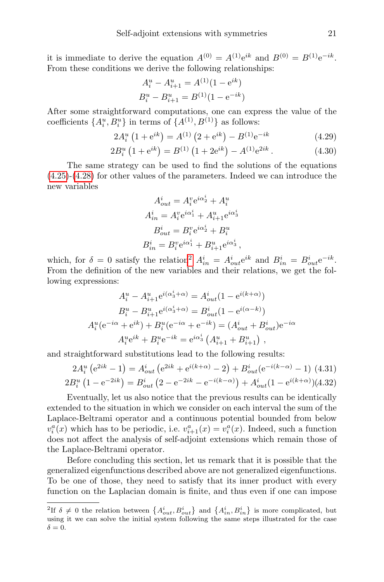it is immediate to derive the equation  $A^{(0)} = A^{(1)}e^{ik}$  and  $B^{(0)} = B^{(1)}e^{-ik}$ . From these conditions we derive the following relationships:

$$
A_i^u - A_{i+1}^u = A^{(1)}(1 - e^{ik})
$$
  

$$
B_i^u - B_{i+1}^u = B^{(1)}(1 - e^{-ik})
$$

After some straightforward computations, one can express the value of the coefficients  $\{A_i^u, B_i^u\}$  in terms of  $\{A^{(1)}, B^{(1)}\}$  as follows:

$$
2A_i^u \left(1 + e^{ik}\right) = A^{(1)} \left(2 + e^{ik}\right) - B^{(1)} e^{-ik} \tag{4.29}
$$

$$
2B_i^u \left(1 + e^{ik}\right) = B^{(1)} \left(1 + 2e^{ik}\right) - A^{(1)} e^{2ik} \,. \tag{4.30}
$$

The same strategy can be used to find the solutions of the equations [\(4.25\)](#page-20-0)-[\(4.28\)](#page-20-0) for other values of the parameters. Indeed we can introduce the new variables

$$
A_{out}^{i} = A_{i}^{v} e^{i\alpha_{2}^{i}} + A_{i}^{u}
$$

$$
A_{in}^{i} = A_{i}^{v} e^{i\alpha_{1}^{i}} + A_{i+1}^{u} e^{i\alpha_{3}^{i}}
$$

$$
B_{out}^{i} = B_{i}^{v} e^{i\alpha_{2}^{i}} + B_{i}^{u}
$$

$$
B_{in}^{i} = B_{i}^{v} e^{i\alpha_{1}^{i}} + B_{i+1}^{u} e^{i\alpha_{3}^{i}}
$$

which, for  $\delta = 0$  satisfy the relation<sup>[2](#page-21-0)</sup>  $A_{in}^i = A_{out}^i e^{ik}$  and  $B_{in}^i = B_{out}^i e^{-ik}$ . From the definition of the new variables and their relations, we get the following expressions:

$$
A_i^u - A_{i+1}^u e^{i(\alpha_3^i + \alpha)} = A_{out}^i (1 - e^{i(k+\alpha)})
$$
  
\n
$$
B_i^u - B_{i+1}^u e^{i(\alpha_3^i + \alpha)} = B_{out}^i (1 - e^{i(\alpha - k)})
$$
  
\n
$$
A_i^u (e^{-i\alpha} + e^{ik}) + B_i^u (e^{-i\alpha} + e^{-ik}) = (A_{out}^i + B_{out}^i) e^{-i\alpha}
$$
  
\n
$$
A_i^u e^{ik} + B_i^u e^{-ik} = e^{i\alpha_3^i} (A_{i+1}^u + B_{i+1}^u),
$$

and straightforward substitutions lead to the following results:

$$
2A_i^u (e^{2ik} - 1) = A_{out}^i (e^{2ik} + e^{i(k+\alpha)} - 2) + B_{out}^i (e^{-i(k-\alpha)} - 1) \tag{4.31}
$$
  

$$
2B_i^u (1 - e^{-2ik}) = B_{out}^i (2 - e^{-2ik} - e^{-i(k-\alpha)}) + A_{out}^i (1 - e^{i(k+\alpha)}) (4.32)
$$

Eventually, let us also notice that the previous results can be identically extended to the situation in which we consider on each interval the sum of the Laplace-Beltrami operator and a continuous potential bounded from below  $v_i^a(x)$  which has to be periodic, i.e.  $v_{i+1}^a(x) = v_i^a(x)$ . Indeed, such a function does not affect the analysis of self-adjoint extensions which remain those of the Laplace-Beltrami operator.

Before concluding this section, let us remark that it is possible that the generalized eigenfunctions described above are not generalized eigenfunctions. To be one of those, they need to satisfy that its inner product with every function on the Laplacian domain is finite, and thus even if one can impose

<span id="page-21-0"></span><sup>&</sup>lt;sup>2</sup>If  $\delta \neq 0$  the relation between  $\{A_{out}^i, B_{out}^i\}$  and  $\{A_{in}^i, B_{in}^i\}$  is more complicated, but using it we can solve the initial system following the same steps illustrated for the case  $\delta = 0.$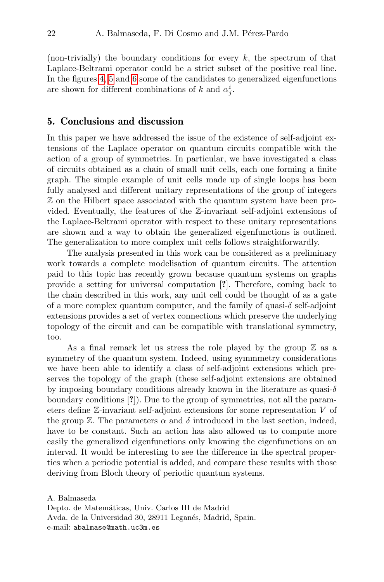(non-trivially) the boundary conditions for every  $k$ , the spectrum of that Laplace-Beltrami operator could be a strict subset of the positive real line. In the figures [4,](#page-23-0) [5](#page-24-0) and [6](#page-24-1) some of the candidates to generalized eigenfunctions are shown for different combinations of k and  $\alpha_j^i$ .

## <span id="page-22-0"></span>5. Conclusions and discussion

In this paper we have addressed the issue of the existence of self-adjoint extensions of the Laplace operator on quantum circuits compatible with the action of a group of symmetries. In particular, we have investigated a class of circuits obtained as a chain of small unit cells, each one forming a finite graph. The simple example of unit cells made up of single loops has been fully analysed and different unitary representations of the group of integers Z on the Hilbert space associated with the quantum system have been provided. Eventually, the features of the Z-invariant self-adjoint extensions of the Laplace-Beltrami operator with respect to these unitary representations are shown and a way to obtain the generalized eigenfunctions is outlined. The generalization to more complex unit cells follows straightforwardly.

The analysis presented in this work can be considered as a preliminary work towards a complete modelisation of quantum circuits. The attention paid to this topic has recently grown because quantum systems on graphs provide a setting for universal computation [?]. Therefore, coming back to the chain described in this work, any unit cell could be thought of as a gate of a more complex quantum computer, and the family of quasi- $\delta$  self-adjoint extensions provides a set of vertex connections which preserve the underlying topology of the circuit and can be compatible with translational symmetry, too.

As a final remark let us stress the role played by the group  $\mathbb Z$  as a symmetry of the quantum system. Indeed, using symmmetry considerations we have been able to identify a class of self-adjoint extensions which preserves the topology of the graph (these self-adjoint extensions are obtained by imposing boundary conditions already known in the literature as quasi- $\delta$ boundary conditions [?]). Due to the group of symmetries, not all the parameters define Z-invariant self-adjoint extensions for some representation V of the group  $\mathbb Z$ . The parameters  $\alpha$  and  $\delta$  introduced in the last section, indeed, have to be constant. Such an action has also allowed us to compute more easily the generalized eigenfunctions only knowing the eigenfunctions on an interval. It would be interesting to see the difference in the spectral properties when a periodic potential is added, and compare these results with those deriving from Bloch theory of periodic quantum systems.

A. Balmaseda Depto. de Matemáticas, Univ. Carlos III de Madrid Avda. de la Universidad 30, 28911 Leganés, Madrid, Spain. e-mail: abalmase@math.uc3m.es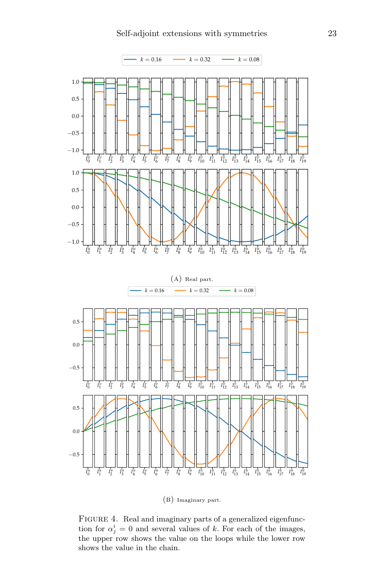<span id="page-23-0"></span>

(b) Imaginary part.

FIGURE 4. Real and imaginary parts of a generalized eigenfunction for  $\alpha_j^i = 0$  and several values of k. For each of the images, the upper row shows the value on the loops while the lower row shows the value in the chain.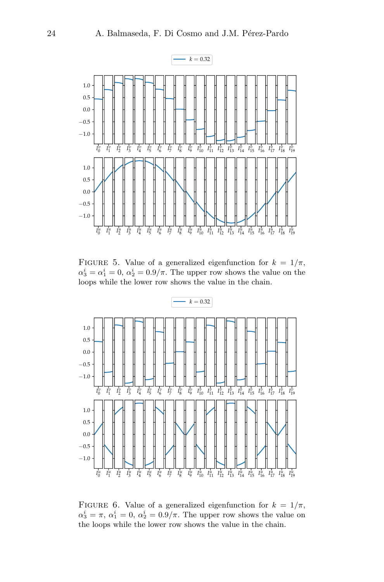<span id="page-24-0"></span>

FIGURE 5. Value of a generalized eigenfunction for  $k = 1/\pi$ ,  $\alpha_3^i = \alpha_1^i = 0, \, \alpha_2^i = 0.9/\pi.$  The upper row shows the value on the loops while the lower row shows the value in the chain.

<span id="page-24-1"></span>

FIGURE 6. Value of a generalized eigenfunction for  $k = 1/\pi$ ,  $\alpha_3^i = \pi, \, \alpha_1^i = 0, \, \alpha_2^i = 0.9/\pi.$  The upper row shows the value on the loops while the lower row shows the value in the chain.